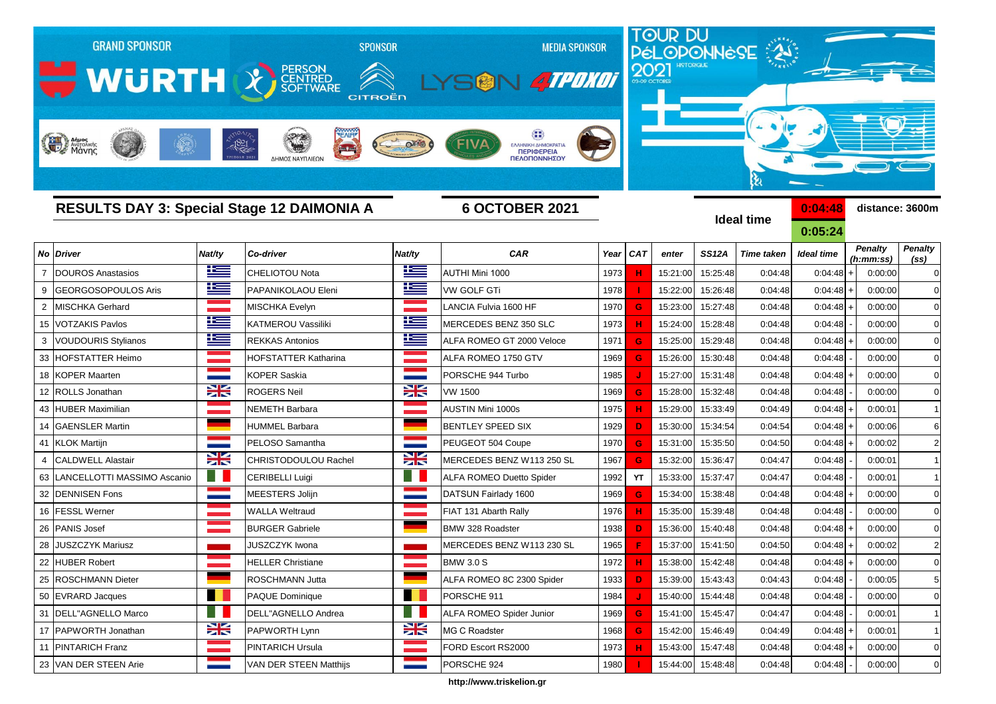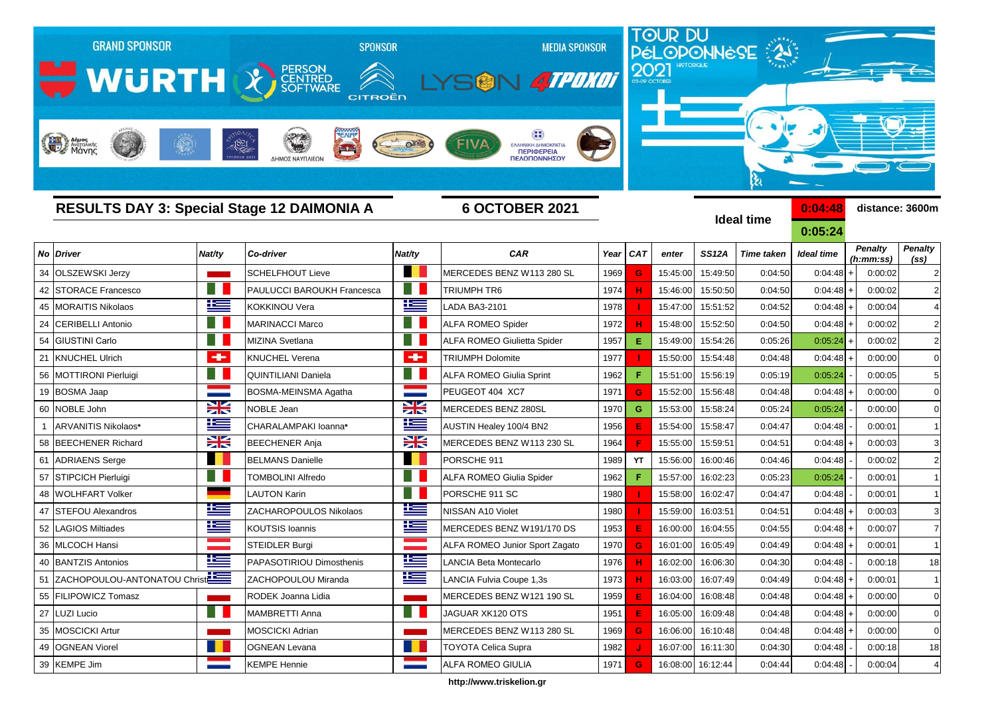

**http://www.triskelion.gr**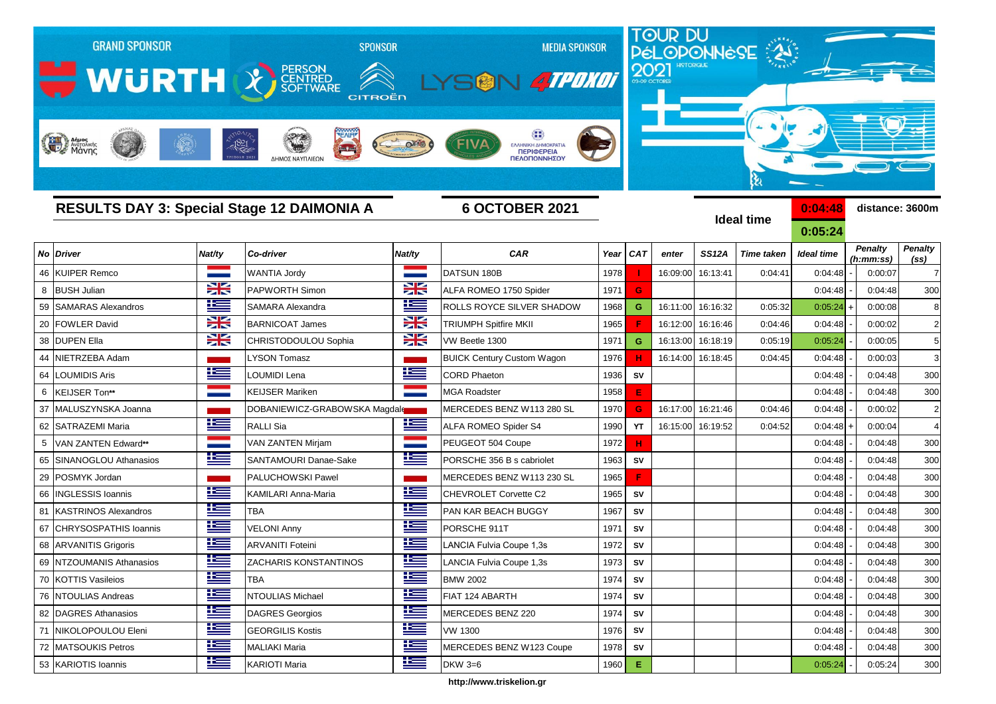

**http://www.triskelion.gr**